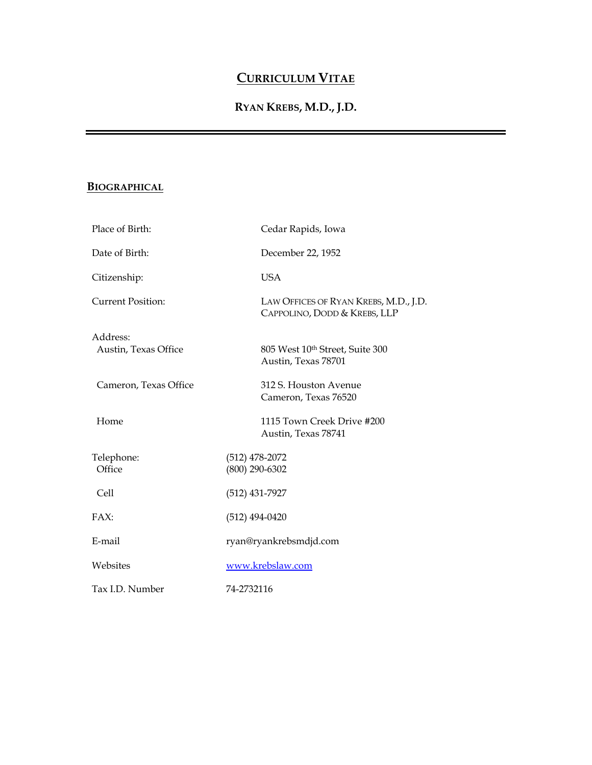# **CURRICULUM VITAE**

## **RYAN KREBS, M.D., J.D.**

### **BIOGRAPHICAL**

| Place of Birth:                  | Cedar Rapids, Iowa                                                    |
|----------------------------------|-----------------------------------------------------------------------|
| Date of Birth:                   | December 22, 1952                                                     |
| Citizenship:                     | <b>USA</b>                                                            |
| <b>Current Position:</b>         | LAW OFFICES OF RYAN KREBS, M.D., J.D.<br>CAPPOLINO, DODD & KREBS, LLP |
| Address:<br>Austin, Texas Office | 805 West 10th Street, Suite 300<br>Austin, Texas 78701                |
| Cameron, Texas Office            | 312 S. Houston Avenue<br>Cameron, Texas 76520                         |
| Home                             | 1115 Town Creek Drive #200<br>Austin, Texas 78741                     |
| Telephone:<br>Office             | $(512)$ 478-2072<br>$(800)$ 290-6302                                  |
| Cell                             | (512) 431-7927                                                        |
| FAX:                             | $(512)$ 494-0420                                                      |
| E-mail                           | ryan@ryankrebsmdjd.com                                                |
| Websites                         | www.krebslaw.com                                                      |
| Tax I.D. Number                  | 74-2732116                                                            |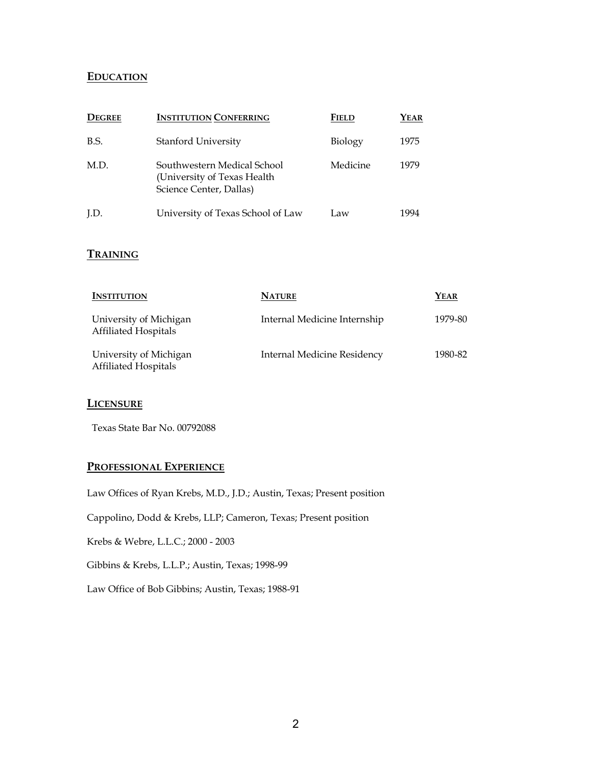#### **EDUCATION**

| <b>DEGREE</b> | <b>INSTITUTION CONFERRING</b>                                                          | <b>FIELD</b> | YEAR |
|---------------|----------------------------------------------------------------------------------------|--------------|------|
| B.S.          | Stanford University                                                                    | Biology      | 1975 |
| M.D.          | Southwestern Medical School<br>(University of Texas Health)<br>Science Center, Dallas) | Medicine     | 1979 |
| LD.           | University of Texas School of Law                                                      | Law          | 1994 |

#### **TRAINING**

| <b>INSTITUTION</b>                                    | <b>NATURE</b>                      | YEAR    |
|-------------------------------------------------------|------------------------------------|---------|
| University of Michigan<br><b>Affiliated Hospitals</b> | Internal Medicine Internship       | 1979-80 |
| University of Michigan<br><b>Affiliated Hospitals</b> | <b>Internal Medicine Residency</b> | 1980-82 |

#### **LICENSURE**

Texas State Bar No. 00792088

#### **PROFESSIONAL EXPERIENCE**

Law Offices of Ryan Krebs, M.D., J.D.; Austin, Texas; Present position

Cappolino, Dodd & Krebs, LLP; Cameron, Texas; Present position

Krebs & Webre, L.L.C.; 2000 - 2003

Gibbins & Krebs, L.L.P.; Austin, Texas; 1998-99

Law Office of Bob Gibbins; Austin, Texas; 1988-91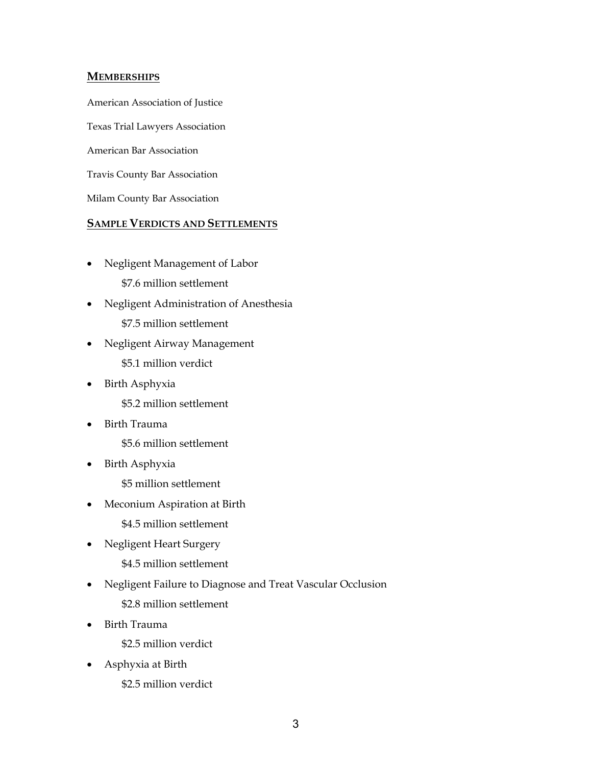#### **MEMBERSHIPS**

American Association of Justice

Texas Trial Lawyers Association

American Bar Association

Travis County Bar Association

Milam County Bar Association

#### **SAMPLE VERDICTS AND SETTLEMENTS**

- Negligent Management of Labor \$7.6 million settlement
- Negligent Administration of Anesthesia \$7.5 million settlement
- Negligent Airway Management \$5.1 million verdict
- Birth Asphyxia \$5.2 million settlement
- Birth Trauma

\$5.6 million settlement

• Birth Asphyxia

\$5 million settlement

- Meconium Aspiration at Birth
	- \$4.5 million settlement
- Negligent Heart Surgery

\$4.5 million settlement

• Negligent Failure to Diagnose and Treat Vascular Occlusion

\$2.8 million settlement

• Birth Trauma

\$2.5 million verdict

• Asphyxia at Birth

\$2.5 million verdict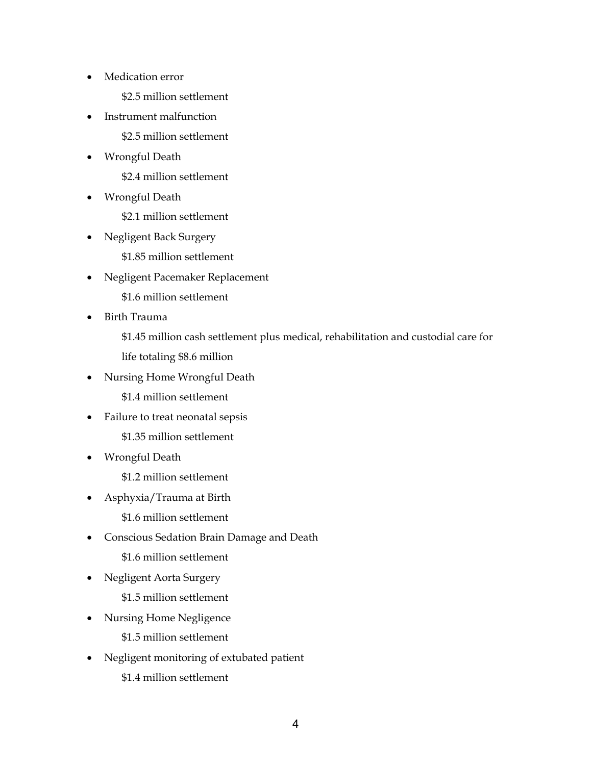• Medication error

\$2.5 million settlement

• Instrument malfunction

\$2.5 million settlement

• Wrongful Death

\$2.4 million settlement

• Wrongful Death

\$2.1 million settlement

• Negligent Back Surgery

\$1.85 million settlement

• Negligent Pacemaker Replacement

\$1.6 million settlement

• Birth Trauma

\$1.45 million cash settlement plus medical, rehabilitation and custodial care for life totaling \$8.6 million

• Nursing Home Wrongful Death

\$1.4 million settlement

• Failure to treat neonatal sepsis

\$1.35 million settlement

• Wrongful Death

\$1.2 million settlement

• Asphyxia/Trauma at Birth

\$1.6 million settlement

• Conscious Sedation Brain Damage and Death

\$1.6 million settlement

• Negligent Aorta Surgery

\$1.5 million settlement

• Nursing Home Negligence

\$1.5 million settlement

• Negligent monitoring of extubated patient \$1.4 million settlement